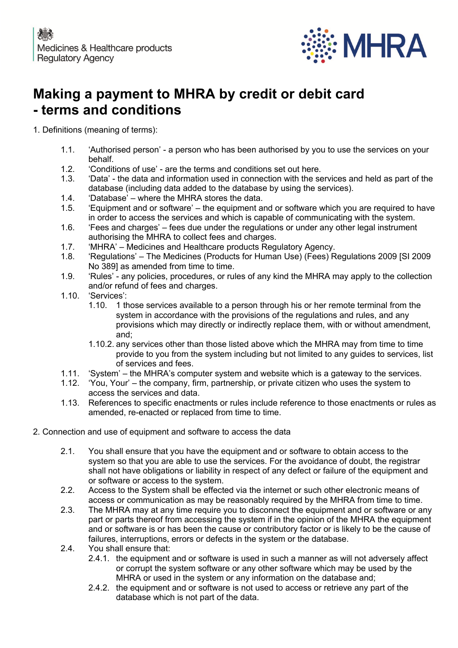

# **Making a payment to MHRA by credit or debit card - terms and conditions**

1. Definitions (meaning of terms):

- 1.1. 'Authorised person' a person who has been authorised by you to use the services on your behalf.
- 1.2. 'Conditions of use' are the terms and conditions set out here.
- 1.3. 'Data' the data and information used in connection with the services and held as part of the database (including data added to the database by using the services).
- 1.4. 'Database' where the MHRA stores the data.
- 1.5. 'Equipment and or software' the equipment and or software which you are required to have in order to access the services and which is capable of communicating with the system.
- 1.6. 'Fees and charges' fees due under the regulations or under any other legal instrument authorising the MHRA to collect fees and charges.
- 1.7. 'MHRA' Medicines and Healthcare products Regulatory Agency.<br>1.8. 'Regulations' The Medicines (Products for Human Use) (Fees) R
- 1.8. 'Regulations' The Medicines (Products for Human Use) (Fees) Regulations 2009 [SI 2009 No 389] as amended from time to time.
- 1.9. 'Rules' any policies, procedures, or rules of any kind the MHRA may apply to the collection and/or refund of fees and charges.
- 1.10. 'Services':
	- 1.10. 1 those services available to a person through his or her remote terminal from the system in accordance with the provisions of the regulations and rules, and any provisions which may directly or indirectly replace them, with or without amendment, and;
	- 1.10.2. any services other than those listed above which the MHRA may from time to time provide to you from the system including but not limited to any guides to services, list of services and fees.
- 1.11. 'System' the MHRA's computer system and website which is a gateway to the services.
- 1.12. 'You, Your' the company, firm, partnership, or private citizen who uses the system to access the services and data.
- 1.13. References to specific enactments or rules include reference to those enactments or rules as amended, re-enacted or replaced from time to time.
- 2. Connection and use of equipment and software to access the data
	- 2.1. You shall ensure that you have the equipment and or software to obtain access to the system so that you are able to use the services. For the avoidance of doubt, the registrar shall not have obligations or liability in respect of any defect or failure of the equipment and or software or access to the system.
	- 2.2. Access to the System shall be effected via the internet or such other electronic means of access or communication as may be reasonably required by the MHRA from time to time.
	- 2.3. The MHRA may at any time require you to disconnect the equipment and or software or any part or parts thereof from accessing the system if in the opinion of the MHRA the equipment and or software is or has been the cause or contributory factor or is likely to be the cause of failures, interruptions, errors or defects in the system or the database.
	- 2.4. You shall ensure that:
		- 2.4.1. the equipment and or software is used in such a manner as will not adversely affect or corrupt the system software or any other software which may be used by the MHRA or used in the system or any information on the database and;
		- 2.4.2. the equipment and or software is not used to access or retrieve any part of the database which is not part of the data.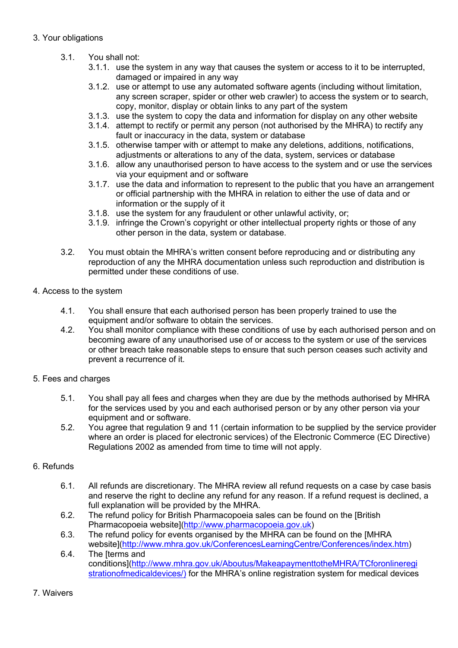# 3. Your obligations

- 3.1. You shall not:
	- 3.1.1. use the system in any way that causes the system or access to it to be interrupted, damaged or impaired in any way
	- 3.1.2. use or attempt to use any automated software agents (including without limitation, any screen scraper, spider or other web crawler) to access the system or to search, copy, monitor, display or obtain links to any part of the system
	- 3.1.3. use the system to copy the data and information for display on any other website
	- 3.1.4. attempt to rectify or permit any person (not authorised by the MHRA) to rectify any fault or inaccuracy in the data, system or database
	- 3.1.5. otherwise tamper with or attempt to make any deletions, additions, notifications, adjustments or alterations to any of the data, system, services or database
	- 3.1.6. allow any unauthorised person to have access to the system and or use the services via your equipment and or software
	- 3.1.7. use the data and information to represent to the public that you have an arrangement or official partnership with the MHRA in relation to either the use of data and or information or the supply of it
	- 3.1.8. use the system for any fraudulent or other unlawful activity, or;
	- 3.1.9. infringe the Crown's copyright or other intellectual property rights or those of any other person in the data, system or database.
- 3.2. You must obtain the MHRA's written consent before reproducing and or distributing any reproduction of any the MHRA documentation unless such reproduction and distribution is permitted under these conditions of use.

# 4. Access to the system

- 4.1. You shall ensure that each authorised person has been properly trained to use the equipment and/or software to obtain the services.
- 4.2. You shall monitor compliance with these conditions of use by each authorised person and on becoming aware of any unauthorised use of or access to the system or use of the services or other breach take reasonable steps to ensure that such person ceases such activity and prevent a recurrence of it.

# 5. Fees and charges

- 5.1. You shall pay all fees and charges when they are due by the methods authorised by MHRA for the services used by you and each authorised person or by any other person via your equipment and or software.
- 5.2. You agree that regulation 9 and 11 (certain information to be supplied by the service provider where an order is placed for electronic services) of the Electronic Commerce (EC Directive) Regulations 2002 as amended from time to time will not apply.

# 6. Refunds

- 6.1. All refunds are discretionary. The MHRA review all refund requests on a case by case basis and reserve the right to decline any refund for any reason. If a refund request is declined, a full explanation will be provided by the MHRA.
- 6.2. The refund policy for British Pharmacopoeia sales can be found on the [British Pharmacopoeia website](http://www.pharmacopoeia.gov.uk)
- 6.3. The refund policy for events organised by the MHRA can be found on the [MHRA website](http://www.mhra.gov.uk/ConferencesLearningCentre/Conferences/index.htm) 6.4. The [terms and
- conditions](http://www.mhra.gov.uk/Aboutus/MakeapaymenttotheMHRA/TCforonlineregi strationofmedicaldevices/) for the MHRA's online registration system for medical devices

#### 7. Waivers